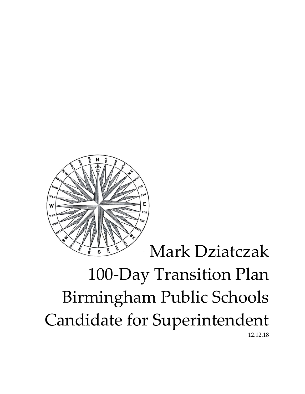

## Mark Dziatczak

# 100-Day Transition Plan Birmingham Public Schools Candidate for Superintendent 12.12.18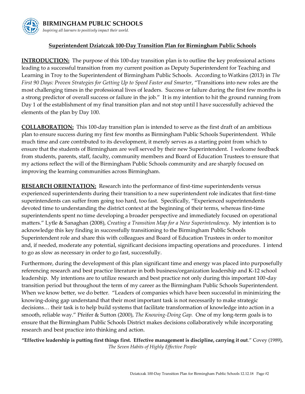### **BIRMINGHAM PUBLIC SCHOOLS**

*Inspiring all learners to positively impact their world.*

#### **Superintendent Dziatczak 100-Day Transition Plan for Birmingham Public Schools**

**INTRODUCTION:** The purpose of this 100-day transition plan is to outline the key professional actions leading to a successful transition from my current position as Deputy Superintendent for Teaching and Learning in Troy to the Superintendent of Birmingham Public Schools. According to Watkins (2013) in *The First 90 Days: Proven Strategies for Getting Up to Speed Faster and Smarter*, "Transitions into new roles are the most challenging times in the professional lives of leaders. Success or failure during the first few months is a strong predictor of overall success or failure in the job." It is my intention to hit the ground running from Day 1 of the establishment of my final transition plan and not stop until I have successfully achieved the elements of the plan by Day 100.

**COLLABORATION:** This 100-day transition plan is intended to serve as the first draft of an ambitious plan to ensure success during my first few months as Birmingham Public Schools Superintendent. While much time and care contributed to its development, it merely serves as a starting point from which to ensure that the students of Birmingham are well served by their new Superintendent. I welcome feedback from students, parents, staff, faculty, community members and Board of Education Trustees to ensure that my actions reflect the will of the Birmingham Public Schools community and are sharply focused on improving the learning communities across Birmingham.

**RESEARCH ORIENTATION:** Research into the performance of first-time superintendents versus experienced superintendents during their transition to a new superintendent role indicates that first-time superintendents can suffer from going too hard, too fast. Specifically, "Experienced superintendents devoted time to understanding the district context at the beginning of their terms, whereas first-time superintendents spent no time developing a broader perspective and immediately focused on operational matters." Lytle & Sanaghan (2008), *Creating a Transition Map for a New Superintendency*. My intention is to acknowledge this key finding in successfully transitioning to the Birmingham Public Schools Superintendent role and share this with colleagues and Board of Education Trustees in order to monitor and, if needed, moderate any potential, significant decisions impacting operations and procedures. I intend to go as slow as necessary in order to go fast, successfully.

Furthermore, during the development of this plan significant time and energy was placed into purposefully referencing research and best practice literature in both business/organization leadership and K-12 school leadership. My intentions are to utilize research and best practice not only during this important 100-day transition period but throughout the term of my career as the Birmingham Public Schools Superintendent. When we know better, we do better. "Leaders of companies which have been successful in minimizing the knowing-doing gap understand that their most important task is not necessarily to make strategic decisions… their task is to help build systems that facilitate transformation of knowledge into action in a smooth, reliable way." Pfeifer & Sutton (2000), *The Knowing-Doing Gap.* One of my long-term goals is to ensure that the Birmingham Public Schools District makes decisions collaboratively while incorporating research and best practice into thinking and action.

**"Effective leadership is putting first things first. Effective management is discipline, carrying it out**." Covey (1989), *The Seven Habits of Highly Effective People*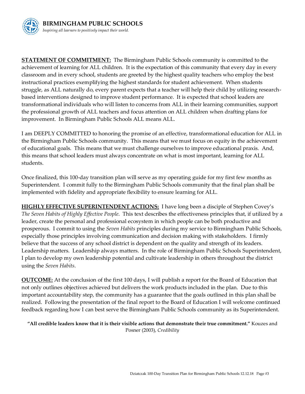

**STATEMENT OF COMMITMENT:** The Birmingham Public Schools community is committed to the achievement of learning for ALL children. It is the expectation of this community that every day in every classroom and in every school, students are greeted by the highest quality teachers who employ the best instructional practices exemplifying the highest standards for student achievement. When students struggle, as ALL naturally do, every parent expects that a teacher will help their child by utilizing researchbased interventions designed to improve student performance. It is expected that school leaders are transformational individuals who will listen to concerns from ALL in their learning communities, support the professional growth of ALL teachers and focus attention on ALL children when drafting plans for improvement. In Birmingham Public Schools ALL means ALL.

I am DEEPLY COMMITTED to honoring the promise of an effective, transformational education for ALL in the Birmingham Public Schools community. This means that we must focus on equity in the achievement of educational goals. This means that we must challenge ourselves to improve educational praxis. And, this means that school leaders must always concentrate on what is most important, learning for ALL students.

Once finalized, this 100-day transition plan will serve as my operating guide for my first few months as Superintendent. I commit fully to the Birmingham Public Schools community that the final plan shall be implemented with fidelity and appropriate flexibility to ensure learning for ALL.

**HIGHLY EFFECTIVE SUPERINTENDENT ACTIONS:** I have long been a disciple of Stephen Covey's *The Seven Habits of Highly Effective People*. This text describes the effectiveness principles that, if utilized by a leader, create the personal and professional ecosystem in which people can be both productive and prosperous. I commit to using the *Seven Habits* principles during my service to Birmingham Public Schools, especially those principles involving communication and decision making with stakeholders. I firmly believe that the success of any school district is dependent on the quality and strength of its leaders. Leadership matters. Leadership always matters. In the role of Birmingham Public Schools Superintendent, I plan to develop my own leadership potential and cultivate leadership in others throughout the district using the *Seven Habits*.

**OUTCOME:** At the conclusion of the first 100 days, I will publish a report for the Board of Education that not only outlines objectives achieved but delivers the work products included in the plan. Due to this important accountability step, the community has a guarantee that the goals outlined in this plan shall be realized. Following the presentation of the final report to the Board of Education I will welcome continued feedback regarding how I can best serve the Birmingham Public Schools community as its Superintendent.

**"All credible leaders know that it is their visible actions that demonstrate their true commitment."** Kouzes and Posner (2003), *Credibility*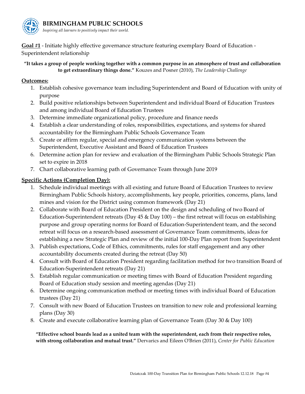

*Inspiring all learners to positively impact their world.*

**Goal #1** - Initiate highly effective governance structure featuring exemplary Board of Education - Superintendent relationship

**"It takes a group of people working together with a common purpose in an atmosphere of trust and collaboration to get extraordinary things done."** Kouzes and Posner (2010), *The Leadership Challenge*

#### **Outcomes:**

- 1. Establish cohesive governance team including Superintendent and Board of Education with unity of purpose
- 2. Build positive relationships between Superintendent and individual Board of Education Trustees and among individual Board of Education Trustees
- 3. Determine immediate organizational policy, procedure and finance needs
- 4. Establish a clear understanding of roles, responsibilities, expectations, and systems for shared accountability for the Birmingham Public Schools Governance Team
- 5. Create or affirm regular, special and emergency communication systems between the Superintendent, Executive Assistant and Board of Education Trustees
- 6. Determine action plan for review and evaluation of the Birmingham Public Schools Strategic Plan set to expire in 2018
- 7. Chart collaborative learning path of Governance Team through June 2019

#### **Specific Actions (Completion Day):**

- 1. Schedule individual meetings with all existing and future Board of Education Trustees to review Birmingham Public Schools history, accomplishments, key people, priorities, concerns, plans, land mines and vision for the District using common framework (Day 21)
- 2. Collaborate with Board of Education President on the design and scheduling of two Board of Education-Superintendent retreats (Day  $45 \&$  Day  $100$ ) – the first retreat will focus on establishing purpose and group operating norms for Board of Education-Superintendent team, and the second retreat will focus on a research-based assessment of Governance Team commitments, ideas for establishing a new Strategic Plan and review of the initial 100-Day Plan report from Superintendent
- 3. Publish expectations, Code of Ethics, commitments, rules for staff engagement and any other accountability documents created during the retreat (Day 50)
- 4. Consult with Board of Education President regarding facilitation method for two transition Board of Education-Superintendent retreats (Day 21)
- 5. Establish regular communication or meeting times with Board of Education President regarding Board of Education study session and meeting agendas (Day 21)
- 6. Determine ongoing communication method or meeting times with individual Board of Education trustees (Day 21)
- 7. Consult with new Board of Education Trustees on transition to new role and professional learning plans (Day 30)
- 8. Create and execute collaborative learning plan of Governance Team (Day 30 & Day 100)

**"Effective school boards lead as a united team with the superintendent, each from their respective roles, with strong collaboration and mutual trust."** Dervarics and Eileen O'Brien (2011), *Center for Public Education*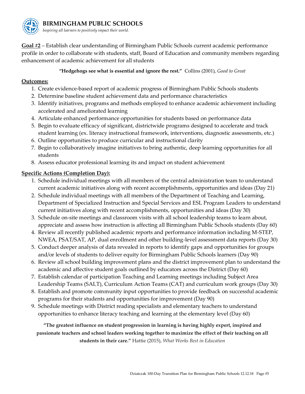

**Goal #2** – Establish clear understanding of Birmingham Public Schools current academic performance profile in order to collaborate with students, staff, Board of Education and community members regarding enhancement of academic achievement for all students

#### **"Hedgehogs see what is essential and ignore the rest."** Collins (2001), *Good to Great*

#### **Outcomes:**

- 1. Create evidence-based report of academic progress of Birmingham Public Schools students
- 2. Determine baseline student achievement data and performance characteristics
- 3. Identify initiatives, programs and methods employed to enhance academic achievement including accelerated and ameliorated learning
- 4. Articulate enhanced performance opportunities for students based on performance data
- 5. Begin to evaluate efficacy of significant, districtwide programs designed to accelerate and track student learning (ex. literacy instructional framework, interventions, diagnostic assessments, etc.)
- 6. Outline opportunities to produce curricular and instructional clarity
- 7. Begin to collaboratively imagine initiatives to bring authentic, deep learning opportunities for all students
- 8. Assess educator professional learning its and impact on student achievement

#### **Specific Actions (Completion Day):**

- 1. Schedule individual meetings with all members of the central administration team to understand current academic initiatives along with recent accomplishments, opportunities and ideas (Day 21)
- 2. Schedule individual meetings with all members of the Department of Teaching and Learning, Department of Specialized Instruction and Special Services and ESL Program Leaders to understand current initiatives along with recent accomplishments, opportunities and ideas (Day 30)
- 3. Schedule on-site meetings and classroom visits with all school leadership teams to learn about, appreciate and assess how instruction is affecting all Birmingham Public Schools students (Day 60)
- 4. Review all recently published academic reports and performance information including M-STEP, NWEA, PSAT/SAT, AP, dual enrollment and other building-level assessment data reports (Day 30)
- 5. Conduct deeper analysis of data revealed in reports to identify gaps and opportunities for groups and/or levels of students to deliver equity for Birmingham Public Schools learners (Day 90)
- 6. Review all school building improvement plans and the district improvement plan to understand the academic and affective student goals outlined by educators across the District (Day 60)
- 7. Establish calendar of participation Teaching and Learning meetings including Subject Area Leadership Teams (SALT), Curriculum Action Teams (CAT) and curriculum work groups (Day 30)
- 8. Establish and promote community input opportunities to provide feedback on successful academic programs for their students and opportunities for improvement (Day 90)
- 9. Schedule meetings with District reading specialists and elementary teachers to understand opportunities to enhance literacy teaching and learning at the elementary level (Day 60)

**"The greatest influence on student progression in learning is having highly expert, inspired and passionate teachers and school leaders working together to maximize the effect of their teaching on all students in their care."** Hattie (2015), *What Works Best in Education*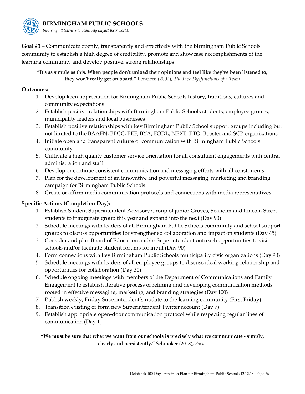

**Goal #3** – Communicate openly, transparently and effectively with the Birmingham Public Schools community to establish a high degree of credibility, promote and showcase accomplishments of the learning community and develop positive, strong relationships

#### **"It's as simple as this. When people don't unload their opinions and feel like they've been listened to, they won't really get on board."** Lencioni (2002), *[The Five Dysfunctions of a Team](https://www.goodreads.com/work/quotes/22516)*

#### **Outcomes:**

- 1. Develop keen appreciation for Birmingham Public Schools history, traditions, cultures and community expectations
- 2. Establish positive relationships with Birmingham Public Schools students, employee groups, municipality leaders and local businesses
- 3. Establish positive relationships with key Birmingham Public School support groups including but not limited to the BAAFN, BBCC, BEF, BYA, FODL, NEXT, PTO, Booster and SCP organizations
- 4. Initiate open and transparent culture of communication with Birmingham Public Schools community
- 5. Cultivate a high quality customer service orientation for all constituent engagements with central administration and staff
- 6. Develop or continue consistent communication and messaging efforts with all constituents
- 7. Plan for the development of an innovative and powerful messaging, marketing and branding campaign for Birmingham Public Schools
- 8. Create or affirm media communication protocols and connections with media representatives

#### **Specific Actions (Completion Day):**

- 1. Establish Student Superintendent Advisory Group of junior Groves, Seaholm and Lincoln Street students to inaugurate group this year and expand into the next (Day 90)
- 2. Schedule meetings with leaders of all Birmingham Public Schools community and school support groups to discuss opportunities for strengthened collaboration and impact on students (Day 45)
- 3. Consider and plan Board of Education and/or Superintendent outreach opportunities to visit schools and/or facilitate student forums for input (Day 90)
- 4. Form connections with key Birmingham Public Schools municipality civic organizations (Day 90)
- 5. Schedule meetings with leaders of all employee groups to discuss ideal working relationship and opportunities for collaboration (Day 30)
- 6. Schedule ongoing meetings with members of the Department of Communications and Family Engagement to establish iterative process of refining and developing communication methods rooted in effective messaging, marketing, and branding strategies (Day 100)
- 7. Publish weekly, Friday Superintendent's update to the learning community (First Friday)
- 8. Transition existing or form new Superintendent Twitter account (Day 7)
- 9. Establish appropriate open-door communication protocol while respecting regular lines of communication (Day 1)

**"We must be sure that what we want from our schools is precisely what we communicate - simply, clearly and persistently."** Schmoker (2018), *Focus*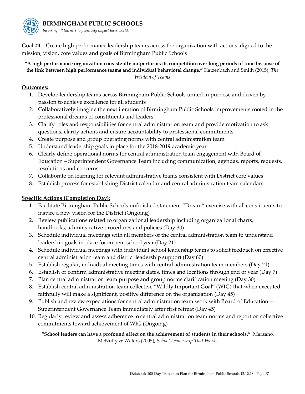

*Inspiring all learners to positively impact their world.*

**Goal #4** – Create high performance leadership teams across the organization with actions aligned to the mission, vision, core values and goals of Birmingham Public Schools

#### **"A high performance organization consistently outperforms its competition over long periods of time because of the link between high performance teams and individual behavioral change."** Katzenbach and Smith (2015), *The Wisdom of Teams*

#### **Outcomes:**

- 1. Develop leadership teams across Birmingham Public Schools united in purpose and driven by passion to achieve excellence for all students
- 2. Collaboratively imagine the next iteration of Birmingham Public Schools improvements rooted in the professional dreams of constituents and leaders
- 3. Clarify roles and responsibilities for central administration team and provide motivation to ask questions, clarify actions and ensure accountability to professional commitments
- 4. Create purpose and group operating norms with central administration team
- 5. Understand leadership goals in place for the 2018-2019 academic year
- 6. Clearly define operational norms for central administration team engagement with Board of Education – Superintendent Governance Team including communication, agendas, reports, requests, resolutions and concerns
- 7. Collaborate on learning for relevant administrative teams consistent with District core values
- 8. Establish process for establishing District calendar and central administration team calendars

#### **Specific Actions (Completion Day):**

- 1. Facilitate Birmingham Public Schools unfinished statement "Dream" exercise with all constituents to inspire a new vision for the District (Ongoing)
- 2. Review publications related to organizational leadership including organizational charts, handbooks, administrative procedures and policies (Day 30)
- 3. Schedule individual meetings with all members of the central administration team to understand leadership goals in place for current school year (Day 21)
- 4. Schedule individual meetings with individual school leadership teams to solicit feedback on effective central administration team and district leadership support (Day 60)
- 5. Establish regular, individual meeting times with central administration team members (Day 21)
- 6. Establish or confirm administrative meeting dates, times and locations through end of year (Day 7)
- 7. Plan central administration team purpose and group norms clarification meeting (Day 30)
- 8. Establish central administration team collective "Wildly Important Goal" (WIG) that when executed faithfully will make a significant, positive difference on the organization (Day 45)
- 9. Publish and review expectations for central administration team work with Board of Education Superintendent Governance Team immediately after first retreat (Day 45)
- 10. Regularly review and assess adherence to central administration team norms and report on collective commitments toward achievement of WIG (Ongoing)

**"School leaders can have a profound effect on the achievement of students in their schools."** Marzano, McNulty & Waters (2005), *School Leadership That Works*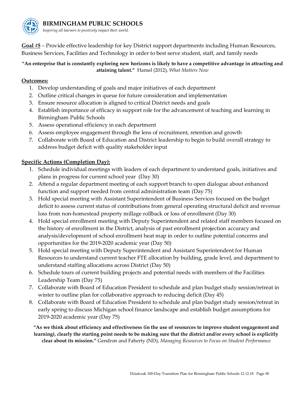

**BIRMINGHAM PUBLIC SCHOOLS**

*Inspiring all learners to positively impact their world.*

**Goal #5** – Provide effective leadership for key District support departments including Human Resources, Business Services, Facilities and Technology in order to best serve student, staff, and family needs

**"An enterprise that is constantly exploring new horizons is likely to have a competitive advantage in attracting and attaining talent."** Hamel (2012), *What Matters Now*

#### **Outcomes:**

- 1. Develop understanding of goals and major initiatives of each department
- 2. Outline critical changes in queue for future consideration and implementation
- 3. Ensure resource allocation is aligned to critical District needs and goals
- 4. Establish importance of efficacy in support role for the advancement of teaching and learning in Birmingham Public Schools
- 5. Assess operational efficiency in each department
- 6. Assess employee engagement through the lens of recruitment, retention and growth
- 7. Collaborate with Board of Education and District leadership to begin to build overall strategy to address budget deficit with quality stakeholder input

#### **Specific Actions (Completion Day):**

- 1. Schedule individual meetings with leaders of each department to understand goals, initiatives and plans in progress for current school year (Day 30)
- 2. Attend a regular department meeting of each support branch to open dialogue about enhanced function and support needed from central administration team (Day 75)
- 3. Hold special meeting with Assistant Superintendent of Business Services focused on the budget deficit to assess current status of contributions from general operating structural deficit and revenue loss from non-homestead property millage rollback or loss of enrollment (Day 30)
- 4. Hold special enrollment meeting with Deputy Superintendent and related staff members focused on the history of enrollment in the District, analysis of past enrollment projection accuracy and analysis/development of school enrollment heat map in order to outline potential concerns and opportunities for the 2019-2020 academic year (Day 50)
- 5. Hold special meeting with Deputy Superintendent and Assistant Superintendent for Human Resources to understand current teacher FTE allocation by building, grade level, and department to understand staffing allocations across District (Day 50)
- 6. Schedule tours of current building projects and potential needs with members of the Facilities Leadership Team (Day 75)
- 7. Collaborate with Board of Education President to schedule and plan budget study session/retreat in winter to outline plan for collaborative approach to reducing deficit (Day 45)
- 8. Collaborate with Board of Education President to schedule and plan budget study session/retreat in early spring to discuss Michigan school finance landscape and establish budget assumptions for 2019-2020 academic year (Day 75)

**"As we think about efficiency and effectiveness (in the use of resources to improve student engagement and learning), clearly the starting point needs to be making sure that the district and/or every school is explicitly clear about its mission."** Gendron and Faherty (ND), *Managing Resources to Focus on Student Performance*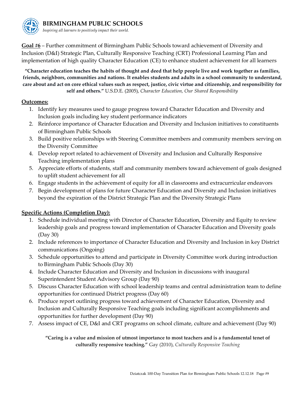

**BIRMINGHAM PUBLIC SCHOOLS**

*Inspiring all learners to positively impact their world.*

**Goal #6** – Further commitment of Birmingham Public Schools toward achievement of Diversity and Inclusion (D&I) Strategic Plan, Culturally Responsive Teaching (CRT) Professional Learning Plan and implementation of high quality Character Education (CE) to enhance student achievement for all learners

**"Character education teaches the habits of thought and deed that help people live and work together as families, friends, neighbors, communities and nations. It enables students and adults in a school community to understand, care about and act on core ethical values such as respect, justice, civic virtue and citizenship, and responsibility for self and others."** U.S.D.E. (2005), *Character Education, Our Shared Responsibility*

#### **Outcomes:**

- 1. Identify key measures used to gauge progress toward Character Education and Diversity and Inclusion goals including key student performance indicators
- 2. Reinforce importance of Character Education and Diversity and Inclusion initiatives to constituents of Birmingham Public Schools
- 3. Build positive relationships with Steering Committee members and community members serving on the Diversity Committee
- 4. Develop report related to achievement of Diversity and Inclusion and Culturally Responsive Teaching implementation plans
- 5. Appreciate efforts of students, staff and community members toward achievement of goals designed to uplift student achievement for all
- 6. Engage students in the achievement of equity for all in classrooms and extracurricular endeavors
- 7. Begin development of plans for future Character Education and Diversity and Inclusion initiatives beyond the expiration of the District Strategic Plan and the Diversity Strategic Plans

#### **Specific Actions (Completion Day):**

- 1. Schedule individual meeting with Director of Character Education, Diversity and Equity to review leadership goals and progress toward implementation of Character Education and Diversity goals (Day 30)
- 2. Include references to importance of Character Education and Diversity and Inclusion in key District communications (Ongoing)
- 3. Schedule opportunities to attend and participate in Diversity Committee work during introduction to Birmingham Public Schools (Day 30)
- 4. Include Character Education and Diversity and Inclusion in discussions with inaugural Superintendent Student Advisory Group (Day 90)
- 5. Discuss Character Education with school leadership teams and central administration team to define opportunities for continued District progress (Day 60)
- 6. Produce report outlining progress toward achievement of Character Education, Diversity and Inclusion and Culturally Responsive Teaching goals including significant accomplishments and opportunities for further development (Day 90)
- 7. Assess impact of CE, D&I and CRT programs on school climate, culture and achievement (Day 90)

**"Caring is a value and mission of utmost importance to most teachers and is a fundamental tenet of culturally responsive teaching."** Gay (2010), *Culturally Responsive Teaching*